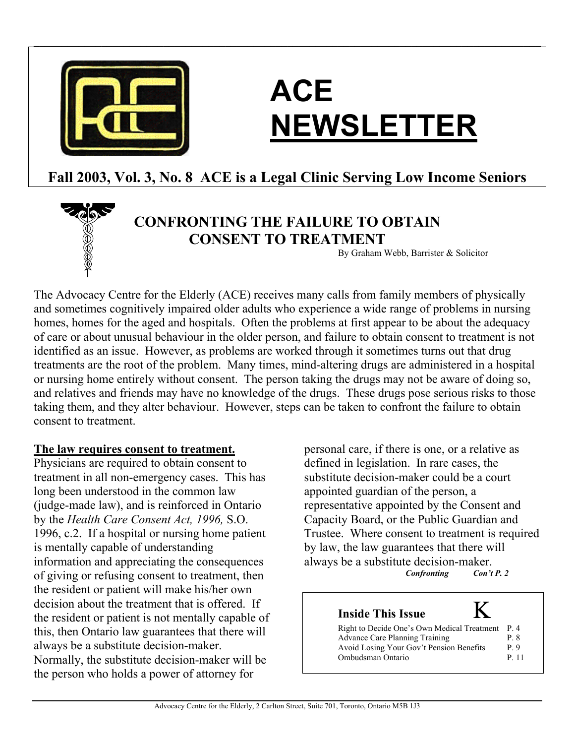

# **ACE NEWSLETTER**

# **Fall 2003, Vol. 3, No. 8 ACE is a Legal Clinic Serving Low Income Seniors**

 $\mathcal{L}_\mathcal{L} = \mathcal{L}_\mathcal{L} = \mathcal{L}_\mathcal{L} = \mathcal{L}_\mathcal{L} = \mathcal{L}_\mathcal{L} = \mathcal{L}_\mathcal{L} = \mathcal{L}_\mathcal{L} = \mathcal{L}_\mathcal{L} = \mathcal{L}_\mathcal{L} = \mathcal{L}_\mathcal{L} = \mathcal{L}_\mathcal{L} = \mathcal{L}_\mathcal{L} = \mathcal{L}_\mathcal{L} = \mathcal{L}_\mathcal{L} = \mathcal{L}_\mathcal{L} = \mathcal{L}_\mathcal{L} = \mathcal{L}_\mathcal{L}$ 



# **CONFRONTING THE FAILURE TO OBTAIN CONSENT TO TREATMENT**

By Graham Webb, Barrister & Solicitor

The Advocacy Centre for the Elderly (ACE) receives many calls from family members of physically and sometimes cognitively impaired older adults who experience a wide range of problems in nursing homes, homes for the aged and hospitals. Often the problems at first appear to be about the adequacy of care or about unusual behaviour in the older person, and failure to obtain consent to treatment is not identified as an issue. However, as problems are worked through it sometimes turns out that drug treatments are the root of the problem. Many times, mind-altering drugs are administered in a hospital or nursing home entirely without consent. The person taking the drugs may not be aware of doing so, and relatives and friends may have no knowledge of the drugs. These drugs pose serious risks to those taking them, and they alter behaviour. However, steps can be taken to confront the failure to obtain consent to treatment.

## **The law requires consent to treatment.**

Physicians are required to obtain consent to treatment in all non-emergency cases. This has long been understood in the common law (judge-made law), and is reinforced in Ontario by the *Health Care Consent Act, 1996,* S.O. 1996, c.2. If a hospital or nursing home patient is mentally capable of understanding information and appreciating the consequences of giving or refusing consent to treatment, then the resident or patient will make his/her own decision about the treatment that is offered. If the resident or patient is not mentally capable of this, then Ontario law guarantees that there will always be a substitute decision-maker. Normally, the substitute decision-maker will be the person who holds a power of attorney for

personal care, if there is one, or a relative as defined in legislation. In rare cases, the substitute decision-maker could be a court appointed guardian of the person, a representative appointed by the Consent and Capacity Board, or the Public Guardian and Trustee. Where consent to treatment is required by law, the law guarantees that there will always be a substitute decision-maker.<br>Continue Con't P. 2

 $\emph{Confronting}$ 

# **Inside This Issue** Κ

| Avoid Losing Your Gov't Pension Benefits<br>P 9<br>Ombudsman Ontario<br>P 11 |  | Right to Decide One's Own Medical Treatment<br>Advance Care Planning Training |  | P 4<br>P 8 |
|------------------------------------------------------------------------------|--|-------------------------------------------------------------------------------|--|------------|
|------------------------------------------------------------------------------|--|-------------------------------------------------------------------------------|--|------------|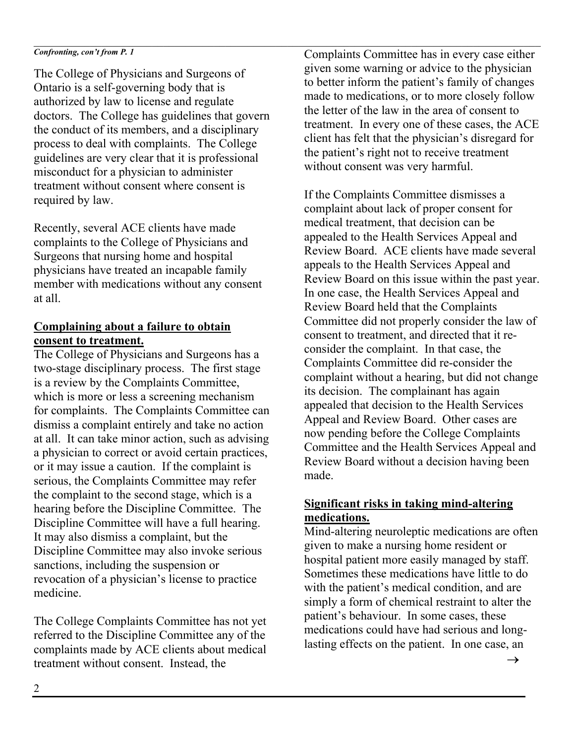#### $\mathcal{L}_\mathcal{L} = \mathcal{L}_\mathcal{L} = \mathcal{L}_\mathcal{L} = \mathcal{L}_\mathcal{L} = \mathcal{L}_\mathcal{L} = \mathcal{L}_\mathcal{L} = \mathcal{L}_\mathcal{L} = \mathcal{L}_\mathcal{L} = \mathcal{L}_\mathcal{L} = \mathcal{L}_\mathcal{L} = \mathcal{L}_\mathcal{L} = \mathcal{L}_\mathcal{L} = \mathcal{L}_\mathcal{L} = \mathcal{L}_\mathcal{L} = \mathcal{L}_\mathcal{L} = \mathcal{L}_\mathcal{L} = \mathcal{L}_\mathcal{L}$ *Confronting, con't from P. 1*

The College of Physicians and Surgeons of Ontario is a self-governing body that is authorized by law to license and regulate doctors. The College has guidelines that govern the conduct of its members, and a disciplinary process to deal with complaints. The College guidelines are very clear that it is professional misconduct for a physician to administer treatment without consent where consent is required by law.

Recently, several ACE clients have made complaints to the College of Physicians and Surgeons that nursing home and hospital physicians have treated an incapable family member with medications without any consent at all.

# **Complaining about a failure to obtain consent to treatment.**

The College of Physicians and Surgeons has a two-stage disciplinary process. The first stage is a review by the Complaints Committee, which is more or less a screening mechanism for complaints. The Complaints Committee can dismiss a complaint entirely and take no action at all. It can take minor action, such as advising a physician to correct or avoid certain practices, or it may issue a caution. If the complaint is serious, the Complaints Committee may refer the complaint to the second stage, which is a hearing before the Discipline Committee. The Discipline Committee will have a full hearing. It may also dismiss a complaint, but the Discipline Committee may also invoke serious sanctions, including the suspension or revocation of a physician's license to practice medicine.

The College Complaints Committee has not yet referred to the Discipline Committee any of the complaints made by ACE clients about medical treatment without consent. Instead, the

Complaints Committee has in every case either given some warning or advice to the physician to better inform the patient's family of changes made to medications, or to more closely follow the letter of the law in the area of consent to treatment. In every one of these cases, the ACE client has felt that the physician's disregard for the patient's right not to receive treatment without consent was very harmful.

If the Complaints Committee dismisses a complaint about lack of proper consent for medical treatment, that decision can be appealed to the Health Services Appeal and Review Board. ACE clients have made several appeals to the Health Services Appeal and Review Board on this issue within the past year. In one case, the Health Services Appeal and Review Board held that the Complaints Committee did not properly consider the law of consent to treatment, and directed that it reconsider the complaint. In that case, the Complaints Committee did re-consider the complaint without a hearing, but did not change its decision. The complainant has again appealed that decision to the Health Services Appeal and Review Board. Other cases are now pending before the College Complaints Committee and the Health Services Appeal and Review Board without a decision having been made.

# **Significant risks in taking mind-altering medications.**

Mind-altering neuroleptic medications are often given to make a nursing home resident or hospital patient more easily managed by staff. Sometimes these medications have little to do with the patient's medical condition, and are simply a form of chemical restraint to alter the patient's behaviour. In some cases, these medications could have had serious and longlasting effects on the patient. In one case, an

 $\rightarrow$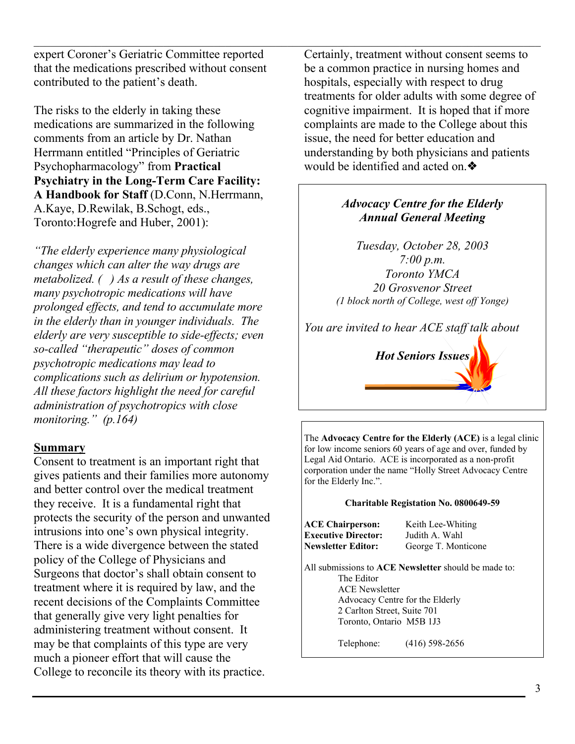expert Coroner's Geriatric Committee reported that the medications prescribed without consent contributed to the patient's death.

 $\mathcal{L}_\mathcal{L} = \mathcal{L}_\mathcal{L} = \mathcal{L}_\mathcal{L} = \mathcal{L}_\mathcal{L} = \mathcal{L}_\mathcal{L} = \mathcal{L}_\mathcal{L} = \mathcal{L}_\mathcal{L} = \mathcal{L}_\mathcal{L} = \mathcal{L}_\mathcal{L} = \mathcal{L}_\mathcal{L} = \mathcal{L}_\mathcal{L} = \mathcal{L}_\mathcal{L} = \mathcal{L}_\mathcal{L} = \mathcal{L}_\mathcal{L} = \mathcal{L}_\mathcal{L} = \mathcal{L}_\mathcal{L} = \mathcal{L}_\mathcal{L}$ 

The risks to the elderly in taking these medications are summarized in the following comments from an article by Dr. Nathan Herrmann entitled "Principles of Geriatric Psychopharmacology" from **Practical Psychiatry in the Long-Term Care Facility: A Handbook for Staff** (D.Conn, N.Herrmann, A.Kaye, D.Rewilak, B.Schogt, eds., Toronto:Hogrefe and Huber, 2001):

*"The elderly experience many physiological changes which can alter the way drugs are metabolized. ( ) As a result of these changes, many psychotropic medications will have prolonged effects, and tend to accumulate more in the elderly than in younger individuals. The elderly are very susceptible to side-effects; even so-called "therapeutic" doses of common psychotropic medications may lead to complications such as delirium or hypotension. All these factors highlight the need for careful administration of psychotropics with close monitoring." (p.164)* 

#### **Summary**

Consent to treatment is an important right that gives patients and their families more autonomy and better control over the medical treatment they receive. It is a fundamental right that protects the security of the person and unwanted intrusions into one's own physical integrity. There is a wide divergence between the stated policy of the College of Physicians and Surgeons that doctor's shall obtain consent to treatment where it is required by law, and the recent decisions of the Complaints Committee that generally give very light penalties for administering treatment without consent. It may be that complaints of this type are very much a pioneer effort that will cause the College to reconcile its theory with its practice.

Certainly, treatment without consent seems to be a common practice in nursing homes and hospitals, especially with respect to drug treatments for older adults with some degree of cognitive impairment. It is hoped that if more complaints are made to the College about this issue, the need for better education and understanding by both physicians and patients would be identified and acted on.❖

# *Advocacy Centre for the Elderly Annual General Meeting*

*Tuesday, October 28, 2003 7:00 p.m. Toronto YMCA 20 Grosvenor Street (1 block north of College, west off Yonge)* 

*You are invited to hear ACE staff talk about* 



The **Advocacy Centre for the Elderly (ACE)** is a legal clinic for low income seniors 60 years of age and over, funded by Legal Aid Ontario. ACE is incorporated as a non-profit corporation under the name "Holly Street Advocacy Centre for the Elderly Inc.".

#### **Charitable Registation No. 0800649-59**

**ACE Chairperson:** Keith Lee-Whiting **Executive Director:** Judith A. Wahl **Newsletter Editor:** George T. Monticone

All submissions to **ACE Newsletter** should be made to: The Editor ACE Newsletter Advocacy Centre for the Elderly 2 Carlton Street, Suite 701 Toronto, Ontario M5B 1J3

Telephone: (416) 598-2656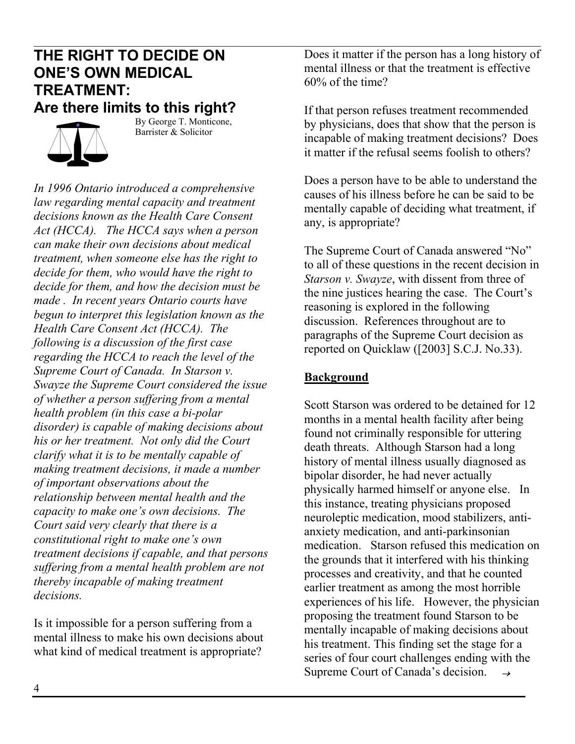# $\mathcal{L}_\mathcal{L} = \mathcal{L}_\mathcal{L} = \mathcal{L}_\mathcal{L} = \mathcal{L}_\mathcal{L} = \mathcal{L}_\mathcal{L} = \mathcal{L}_\mathcal{L} = \mathcal{L}_\mathcal{L} = \mathcal{L}_\mathcal{L} = \mathcal{L}_\mathcal{L} = \mathcal{L}_\mathcal{L} = \mathcal{L}_\mathcal{L} = \mathcal{L}_\mathcal{L} = \mathcal{L}_\mathcal{L} = \mathcal{L}_\mathcal{L} = \mathcal{L}_\mathcal{L} = \mathcal{L}_\mathcal{L} = \mathcal{L}_\mathcal{L}$ **THE RIGHT TO DECIDE ON ONE'S OWN MEDICAL TREATMENT: Are there limits to this right?**



 By George T. Monticone, Barrister & Solicitor

*In 1996 Ontario introduced a comprehensive law regarding mental capacity and treatment decisions known as the Health Care Consent Act (HCCA). The HCCA says when a person can make their own decisions about medical treatment, when someone else has the right to decide for them, who would have the right to decide for them, and how the decision must be made . In recent years Ontario courts have begun to interpret this legislation known as the Health Care Consent Act (HCCA). The following is a discussion of the first case regarding the HCCA to reach the level of the Supreme Court of Canada. In Starson v. Swayze the Supreme Court considered the issue of whether a person suffering from a mental health problem (in this case a bi-polar disorder) is capable of making decisions about his or her treatment. Not only did the Court clarify what it is to be mentally capable of making treatment decisions, it made a number of important observations about the relationship between mental health and the capacity to make one's own decisions. The Court said very clearly that there is a constitutional right to make one's own treatment decisions if capable, and that persons suffering from a mental health problem are not thereby incapable of making treatment decisions.* 

Is it impossible for a person suffering from a mental illness to make his own decisions about what kind of medical treatment is appropriate?

Does it matter if the person has a long history of mental illness or that the treatment is effective 60% of the time?

If that person refuses treatment recommended by physicians, does that show that the person is incapable of making treatment decisions? Does it matter if the refusal seems foolish to others?

Does a person have to be able to understand the causes of his illness before he can be said to be mentally capable of deciding what treatment, if any, is appropriate?

The Supreme Court of Canada answered "No" to all of these questions in the recent decision in *Starson v. Swayze*, with dissent from three of the nine justices hearing the case. The Court's reasoning is explored in the following discussion. References throughout are to paragraphs of the Supreme Court decision as reported on Quicklaw ([2003] S.C.J. No.33).

# **Background**

Scott Starson was ordered to be detained for 12 months in a mental health facility after being found not criminally responsible for uttering death threats. Although Starson had a long history of mental illness usually diagnosed as bipolar disorder, he had never actually physically harmed himself or anyone else. In this instance, treating physicians proposed neuroleptic medication, mood stabilizers, antianxiety medication, and anti-parkinsonian medication. Starson refused this medication on the grounds that it interfered with his thinking processes and creativity, and that he counted earlier treatment as among the most horrible experiences of his life. However, the physician proposing the treatment found Starson to be mentally incapable of making decisions about his treatment. This finding set the stage for a series of four court challenges ending with the Supreme Court of Canada's decision.  $\rightarrow$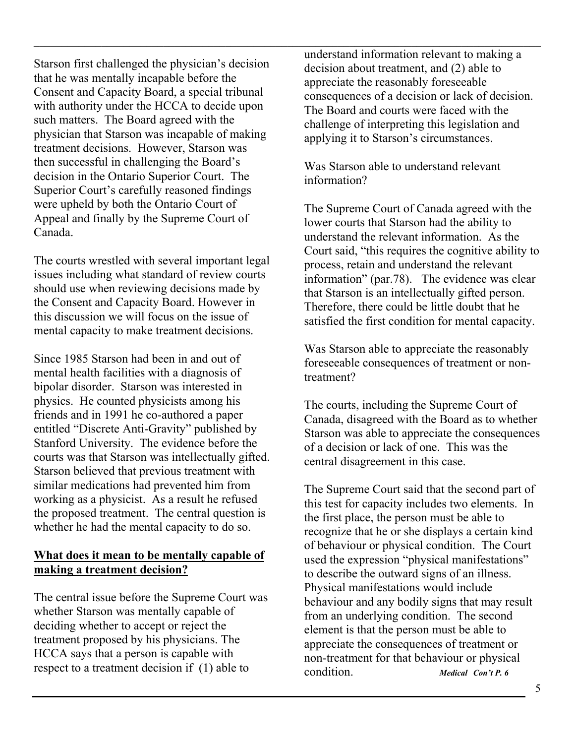Starson first challenged the physician's decision that he was mentally incapable before the Consent and Capacity Board, a special tribunal with authority under the HCCA to decide upon such matters. The Board agreed with the physician that Starson was incapable of making treatment decisions. However, Starson was then successful in challenging the Board's decision in the Ontario Superior Court. The Superior Court's carefully reasoned findings were upheld by both the Ontario Court of Appeal and finally by the Supreme Court of Canada.

The courts wrestled with several important legal issues including what standard of review courts should use when reviewing decisions made by the Consent and Capacity Board. However in this discussion we will focus on the issue of mental capacity to make treatment decisions.

Since 1985 Starson had been in and out of mental health facilities with a diagnosis of bipolar disorder. Starson was interested in physics. He counted physicists among his friends and in 1991 he co-authored a paper entitled "Discrete Anti-Gravity" published by Stanford University. The evidence before the courts was that Starson was intellectually gifted. Starson believed that previous treatment with similar medications had prevented him from working as a physicist. As a result he refused the proposed treatment. The central question is whether he had the mental capacity to do so.

## **What does it mean to be mentally capable of making a treatment decision?**

The central issue before the Supreme Court was whether Starson was mentally capable of deciding whether to accept or reject the treatment proposed by his physicians. The HCCA says that a person is capable with respect to a treatment decision if (1) able to

understand information relevant to making a decision about treatment, and (2) able to appreciate the reasonably foreseeable consequences of a decision or lack of decision. The Board and courts were faced with the challenge of interpreting this legislation and applying it to Starson's circumstances.

Was Starson able to understand relevant information?

 $\mathcal{L}_\mathcal{L} = \mathcal{L}_\mathcal{L} = \mathcal{L}_\mathcal{L} = \mathcal{L}_\mathcal{L} = \mathcal{L}_\mathcal{L} = \mathcal{L}_\mathcal{L} = \mathcal{L}_\mathcal{L} = \mathcal{L}_\mathcal{L} = \mathcal{L}_\mathcal{L} = \mathcal{L}_\mathcal{L} = \mathcal{L}_\mathcal{L} = \mathcal{L}_\mathcal{L} = \mathcal{L}_\mathcal{L} = \mathcal{L}_\mathcal{L} = \mathcal{L}_\mathcal{L} = \mathcal{L}_\mathcal{L} = \mathcal{L}_\mathcal{L}$ 

The Supreme Court of Canada agreed with the lower courts that Starson had the ability to understand the relevant information. As the Court said, "this requires the cognitive ability to process, retain and understand the relevant information" (par.78). The evidence was clear that Starson is an intellectually gifted person. Therefore, there could be little doubt that he satisfied the first condition for mental capacity.

Was Starson able to appreciate the reasonably foreseeable consequences of treatment or nontreatment?

The courts, including the Supreme Court of Canada, disagreed with the Board as to whether Starson was able to appreciate the consequences of a decision or lack of one. This was the central disagreement in this case.

The Supreme Court said that the second part of this test for capacity includes two elements. In the first place, the person must be able to recognize that he or she displays a certain kind of behaviour or physical condition. The Court used the expression "physical manifestations" to describe the outward signs of an illness. Physical manifestations would include behaviour and any bodily signs that may result from an underlying condition. The second element is that the person must be able to appreciate the consequences of treatment or non-treatment for that behaviour or physical condition. *Medical Con't P. 6*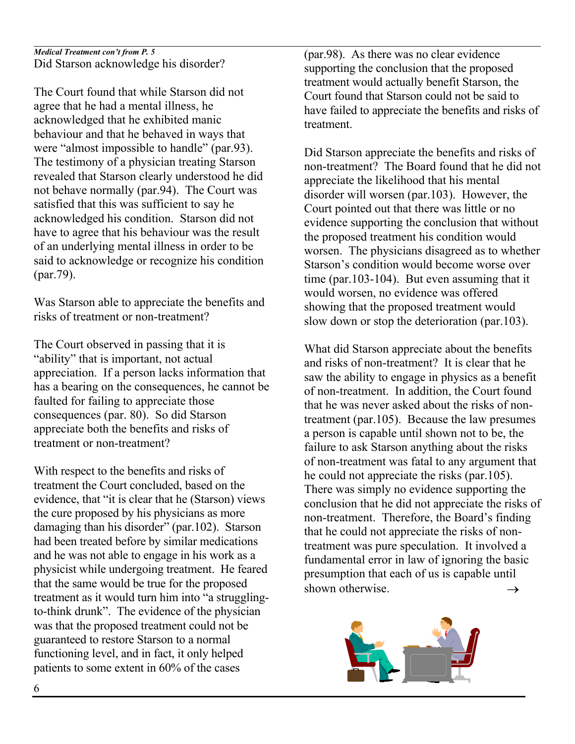#### $\mathcal{L}_\mathcal{L} = \mathcal{L}_\mathcal{L} = \mathcal{L}_\mathcal{L} = \mathcal{L}_\mathcal{L} = \mathcal{L}_\mathcal{L} = \mathcal{L}_\mathcal{L} = \mathcal{L}_\mathcal{L} = \mathcal{L}_\mathcal{L} = \mathcal{L}_\mathcal{L} = \mathcal{L}_\mathcal{L} = \mathcal{L}_\mathcal{L} = \mathcal{L}_\mathcal{L} = \mathcal{L}_\mathcal{L} = \mathcal{L}_\mathcal{L} = \mathcal{L}_\mathcal{L} = \mathcal{L}_\mathcal{L} = \mathcal{L}_\mathcal{L}$ *Medical Treatment con't from P. 5*  Did Starson acknowledge his disorder?

The Court found that while Starson did not agree that he had a mental illness, he acknowledged that he exhibited manic behaviour and that he behaved in ways that were "almost impossible to handle" (par.93). The testimony of a physician treating Starson revealed that Starson clearly understood he did not behave normally (par.94). The Court was satisfied that this was sufficient to say he acknowledged his condition. Starson did not have to agree that his behaviour was the result of an underlying mental illness in order to be said to acknowledge or recognize his condition (par.79).

Was Starson able to appreciate the benefits and risks of treatment or non-treatment?

The Court observed in passing that it is "ability" that is important, not actual appreciation. If a person lacks information that has a bearing on the consequences, he cannot be faulted for failing to appreciate those consequences (par. 80). So did Starson appreciate both the benefits and risks of treatment or non-treatment?

With respect to the benefits and risks of treatment the Court concluded, based on the evidence, that "it is clear that he (Starson) views the cure proposed by his physicians as more damaging than his disorder" (par.102). Starson had been treated before by similar medications and he was not able to engage in his work as a physicist while undergoing treatment. He feared that the same would be true for the proposed treatment as it would turn him into "a strugglingto-think drunk". The evidence of the physician was that the proposed treatment could not be guaranteed to restore Starson to a normal functioning level, and in fact, it only helped patients to some extent in 60% of the cases

(par.98). As there was no clear evidence supporting the conclusion that the proposed treatment would actually benefit Starson, the Court found that Starson could not be said to have failed to appreciate the benefits and risks of treatment.

Did Starson appreciate the benefits and risks of non-treatment? The Board found that he did not appreciate the likelihood that his mental disorder will worsen (par.103). However, the Court pointed out that there was little or no evidence supporting the conclusion that without the proposed treatment his condition would worsen. The physicians disagreed as to whether Starson's condition would become worse over time (par.103-104). But even assuming that it would worsen, no evidence was offered showing that the proposed treatment would slow down or stop the deterioration (par.103).

What did Starson appreciate about the benefits and risks of non-treatment? It is clear that he saw the ability to engage in physics as a benefit of non-treatment. In addition, the Court found that he was never asked about the risks of nontreatment (par.105). Because the law presumes a person is capable until shown not to be, the failure to ask Starson anything about the risks of non-treatment was fatal to any argument that he could not appreciate the risks (par.105). There was simply no evidence supporting the conclusion that he did not appreciate the risks of non-treatment. Therefore, the Board's finding that he could not appreciate the risks of nontreatment was pure speculation. It involved a fundamental error in law of ignoring the basic presumption that each of us is capable until shown otherwise.  $\rightarrow$ 

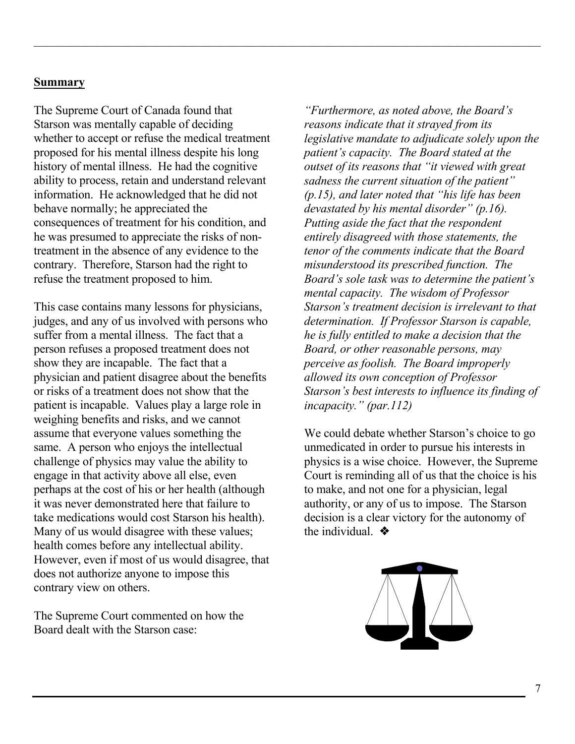#### **Summary**

The Supreme Court of Canada found that Starson was mentally capable of deciding whether to accept or refuse the medical treatment proposed for his mental illness despite his long history of mental illness. He had the cognitive ability to process, retain and understand relevant information. He acknowledged that he did not behave normally; he appreciated the consequences of treatment for his condition, and he was presumed to appreciate the risks of nontreatment in the absence of any evidence to the contrary. Therefore, Starson had the right to refuse the treatment proposed to him.

 $\mathcal{L}_\mathcal{L} = \mathcal{L}_\mathcal{L} = \mathcal{L}_\mathcal{L} = \mathcal{L}_\mathcal{L} = \mathcal{L}_\mathcal{L} = \mathcal{L}_\mathcal{L} = \mathcal{L}_\mathcal{L} = \mathcal{L}_\mathcal{L} = \mathcal{L}_\mathcal{L} = \mathcal{L}_\mathcal{L} = \mathcal{L}_\mathcal{L} = \mathcal{L}_\mathcal{L} = \mathcal{L}_\mathcal{L} = \mathcal{L}_\mathcal{L} = \mathcal{L}_\mathcal{L} = \mathcal{L}_\mathcal{L} = \mathcal{L}_\mathcal{L}$ 

This case contains many lessons for physicians, judges, and any of us involved with persons who suffer from a mental illness. The fact that a person refuses a proposed treatment does not show they are incapable. The fact that a physician and patient disagree about the benefits or risks of a treatment does not show that the patient is incapable. Values play a large role in weighing benefits and risks, and we cannot assume that everyone values something the same. A person who enjoys the intellectual challenge of physics may value the ability to engage in that activity above all else, even perhaps at the cost of his or her health (although it was never demonstrated here that failure to take medications would cost Starson his health). Many of us would disagree with these values; health comes before any intellectual ability. However, even if most of us would disagree, that does not authorize anyone to impose this contrary view on others.

The Supreme Court commented on how the Board dealt with the Starson case:

*"Furthermore, as noted above, the Board's reasons indicate that it strayed from its legislative mandate to adjudicate solely upon the patient's capacity. The Board stated at the outset of its reasons that "it viewed with great sadness the current situation of the patient" (p.15), and later noted that "his life has been devastated by his mental disorder" (p.16). Putting aside the fact that the respondent entirely disagreed with those statements, the tenor of the comments indicate that the Board misunderstood its prescribed function. The Board's sole task was to determine the patient's mental capacity. The wisdom of Professor Starson's treatment decision is irrelevant to that determination. If Professor Starson is capable, he is fully entitled to make a decision that the Board, or other reasonable persons, may perceive as foolish. The Board improperly allowed its own conception of Professor Starson's best interests to influence its finding of incapacity." (par.112)* 

We could debate whether Starson's choice to go unmedicated in order to pursue his interests in physics is a wise choice. However, the Supreme Court is reminding all of us that the choice is his to make, and not one for a physician, legal authority, or any of us to impose. The Starson decision is a clear victory for the autonomy of the individual. ❖

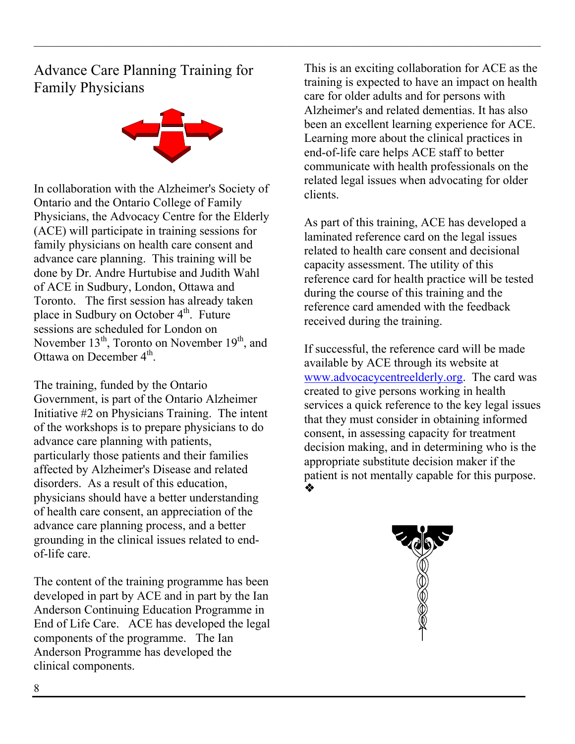Advance Care Planning Training for Family Physicians



 $\mathcal{L}_\mathcal{L} = \mathcal{L}_\mathcal{L} = \mathcal{L}_\mathcal{L} = \mathcal{L}_\mathcal{L} = \mathcal{L}_\mathcal{L} = \mathcal{L}_\mathcal{L} = \mathcal{L}_\mathcal{L} = \mathcal{L}_\mathcal{L} = \mathcal{L}_\mathcal{L} = \mathcal{L}_\mathcal{L} = \mathcal{L}_\mathcal{L} = \mathcal{L}_\mathcal{L} = \mathcal{L}_\mathcal{L} = \mathcal{L}_\mathcal{L} = \mathcal{L}_\mathcal{L} = \mathcal{L}_\mathcal{L} = \mathcal{L}_\mathcal{L}$ 

In collaboration with the Alzheimer's Society of Ontario and the Ontario College of Family Physicians, the Advocacy Centre for the Elderly (ACE) will participate in training sessions for family physicians on health care consent and advance care planning. This training will be done by Dr. Andre Hurtubise and Judith Wahl of ACE in Sudbury, London, Ottawa and Toronto. The first session has already taken place in Sudbury on October  $4<sup>th</sup>$ . Future sessions are scheduled for London on November  $13^{th}$ , Toronto on November  $19^{th}$ , and Ottawa on December 4<sup>th</sup>.

The training, funded by the Ontario Government, is part of the Ontario Alzheimer Initiative #2 on Physicians Training. The intent of the workshops is to prepare physicians to do advance care planning with patients, particularly those patients and their families affected by Alzheimer's Disease and related disorders. As a result of this education, physicians should have a better understanding of health care consent, an appreciation of the advance care planning process, and a better grounding in the clinical issues related to endof-life care.

The content of the training programme has been developed in part by ACE and in part by the Ian Anderson Continuing Education Programme in End of Life Care. ACE has developed the legal components of the programme. The Ian Anderson Programme has developed the clinical components.

This is an exciting collaboration for ACE as the training is expected to have an impact on health care for older adults and for persons with Alzheimer's and related dementias. It has also been an excellent learning experience for ACE. Learning more about the clinical practices in end-of-life care helps ACE staff to better communicate with health professionals on the related legal issues when advocating for older clients.

As part of this training, ACE has developed a laminated reference card on the legal issues related to health care consent and decisional capacity assessment. The utility of this reference card for health practice will be tested during the course of this training and the reference card amended with the feedback received during the training.

If successful, the reference card will be made available by ACE through its website at www.advocacycentreelderly.org. The card was created to give persons working in health services a quick reference to the key legal issues that they must consider in obtaining informed consent, in assessing capacity for treatment decision making, and in determining who is the appropriate substitute decision maker if the patient is not mentally capable for this purpose. ❖

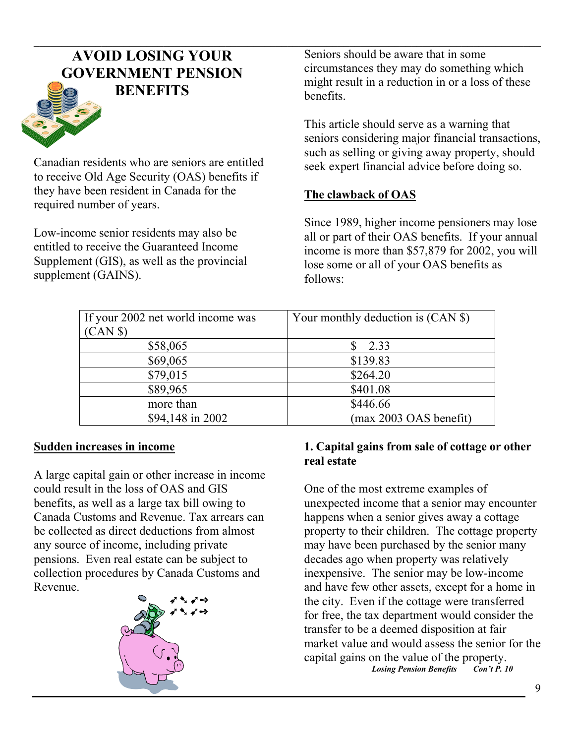# $\mathcal{L}_\mathcal{L} = \mathcal{L}_\mathcal{L} = \mathcal{L}_\mathcal{L} = \mathcal{L}_\mathcal{L} = \mathcal{L}_\mathcal{L} = \mathcal{L}_\mathcal{L} = \mathcal{L}_\mathcal{L} = \mathcal{L}_\mathcal{L} = \mathcal{L}_\mathcal{L} = \mathcal{L}_\mathcal{L} = \mathcal{L}_\mathcal{L} = \mathcal{L}_\mathcal{L} = \mathcal{L}_\mathcal{L} = \mathcal{L}_\mathcal{L} = \mathcal{L}_\mathcal{L} = \mathcal{L}_\mathcal{L} = \mathcal{L}_\mathcal{L}$ **AVOID LOSING YOUR GOVERNMENT PENSION BENEFITS**



Canadian residents who are seniors are entitled to receive Old Age Security (OAS) benefits if they have been resident in Canada for the required number of years.

Low-income senior residents may also be entitled to receive the Guaranteed Income Supplement (GIS), as well as the provincial supplement (GAINS).

Seniors should be aware that in some circumstances they may do something which might result in a reduction in or a loss of these benefits.

This article should serve as a warning that seniors considering major financial transactions, such as selling or giving away property, should seek expert financial advice before doing so.

# **The clawback of OAS**

Since 1989, higher income pensioners may lose all or part of their OAS benefits. If your annual income is more than \$57,879 for 2002, you will lose some or all of your OAS benefits as follows:

| If your 2002 net world income was | Your monthly deduction is (CAN \$) |
|-----------------------------------|------------------------------------|
| (CAN \$)                          |                                    |
| \$58,065                          | 2.33                               |
| \$69,065                          | \$139.83                           |
| \$79,015                          | \$264.20                           |
| \$89,965                          | \$401.08                           |
| more than                         | \$446.66                           |
| \$94,148 in 2002                  | (max 2003 OAS benefit)             |

# **Sudden increases in income**

A large capital gain or other increase in income could result in the loss of OAS and GIS benefits, as well as a large tax bill owing to Canada Customs and Revenue. Tax arrears can be collected as direct deductions from almost any source of income, including private pensions. Even real estate can be subject to collection procedures by Canada Customs and Revenue.



# **1. Capital gains from sale of cottage or other real estate**

One of the most extreme examples of unexpected income that a senior may encounter happens when a senior gives away a cottage property to their children. The cottage property may have been purchased by the senior many decades ago when property was relatively inexpensive. The senior may be low-income and have few other assets, except for a home in the city. Even if the cottage were transferred for free, the tax department would consider the transfer to be a deemed disposition at fair market value and would assess the senior for the capital gains on the value of the property.<br>Losing Pension Benefits Con't P. 10

*Losing Pension Benefits*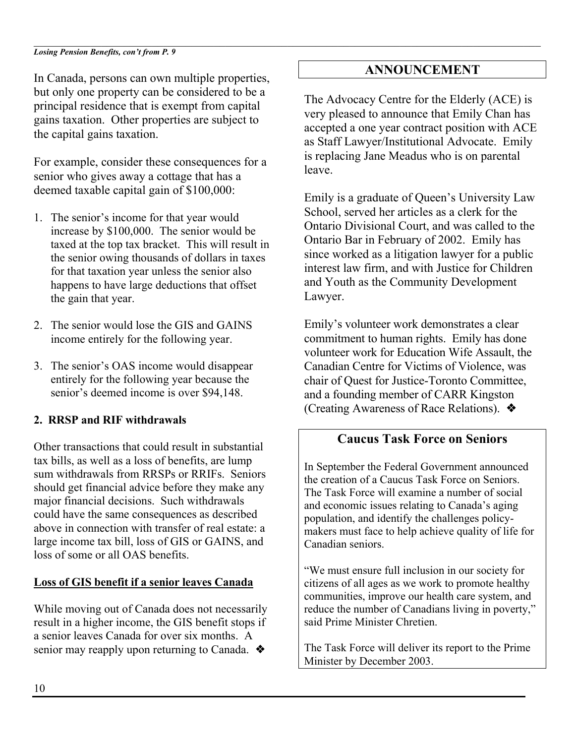#### $\mathcal{L}_\mathcal{L} = \mathcal{L}_\mathcal{L} = \mathcal{L}_\mathcal{L} = \mathcal{L}_\mathcal{L} = \mathcal{L}_\mathcal{L} = \mathcal{L}_\mathcal{L} = \mathcal{L}_\mathcal{L} = \mathcal{L}_\mathcal{L} = \mathcal{L}_\mathcal{L} = \mathcal{L}_\mathcal{L} = \mathcal{L}_\mathcal{L} = \mathcal{L}_\mathcal{L} = \mathcal{L}_\mathcal{L} = \mathcal{L}_\mathcal{L} = \mathcal{L}_\mathcal{L} = \mathcal{L}_\mathcal{L} = \mathcal{L}_\mathcal{L}$ *Losing Pension Benefits, con't from P. 9*

In Canada, persons can own multiple properties, but only one property can be considered to be a principal residence that is exempt from capital gains taxation. Other properties are subject to the capital gains taxation.

For example, consider these consequences for a senior who gives away a cottage that has a deemed taxable capital gain of \$100,000:

- 1. The senior's income for that year would increase by \$100,000. The senior would be taxed at the top tax bracket. This will result in the senior owing thousands of dollars in taxes for that taxation year unless the senior also happens to have large deductions that offset the gain that year.
- 2. The senior would lose the GIS and GAINS income entirely for the following year.
- 3. The senior's OAS income would disappear entirely for the following year because the senior's deemed income is over \$94,148.

# **2. RRSP and RIF withdrawals**

Other transactions that could result in substantial tax bills, as well as a loss of benefits, are lump sum withdrawals from RRSPs or RRIFs. Seniors should get financial advice before they make any major financial decisions. Such withdrawals could have the same consequences as described above in connection with transfer of real estate: a large income tax bill, loss of GIS or GAINS, and loss of some or all OAS benefits.

## **Loss of GIS benefit if a senior leaves Canada**

While moving out of Canada does not necessarily result in a higher income, the GIS benefit stops if a senior leaves Canada for over six months. A senior may reapply upon returning to Canada. ❖

# **ANNOUNCEMENT**

The Advocacy Centre for the Elderly (ACE) is very pleased to announce that Emily Chan has accepted a one year contract position with ACE as Staff Lawyer/Institutional Advocate. Emily is replacing Jane Meadus who is on parental leave.

Emily is a graduate of Queen's University Law School, served her articles as a clerk for the Ontario Divisional Court, and was called to the Ontario Bar in February of 2002. Emily has since worked as a litigation lawyer for a public interest law firm, and with Justice for Children and Youth as the Community Development Lawyer.

Emily's volunteer work demonstrates a clear commitment to human rights. Emily has done volunteer work for Education Wife Assault, the Canadian Centre for Victims of Violence, was chair of Quest for Justice-Toronto Committee, and a founding member of CARR Kingston (Creating Awareness of Race Relations). ❖

# **Caucus Task Force on Seniors**

In September the Federal Government announced the creation of a Caucus Task Force on Seniors. The Task Force will examine a number of social and economic issues relating to Canada's aging population, and identify the challenges policymakers must face to help achieve quality of life for Canadian seniors.

"We must ensure full inclusion in our society for citizens of all ages as we work to promote healthy communities, improve our health care system, and reduce the number of Canadians living in poverty," said Prime Minister Chretien.

The Task Force will deliver its report to the Prime Minister by December 2003.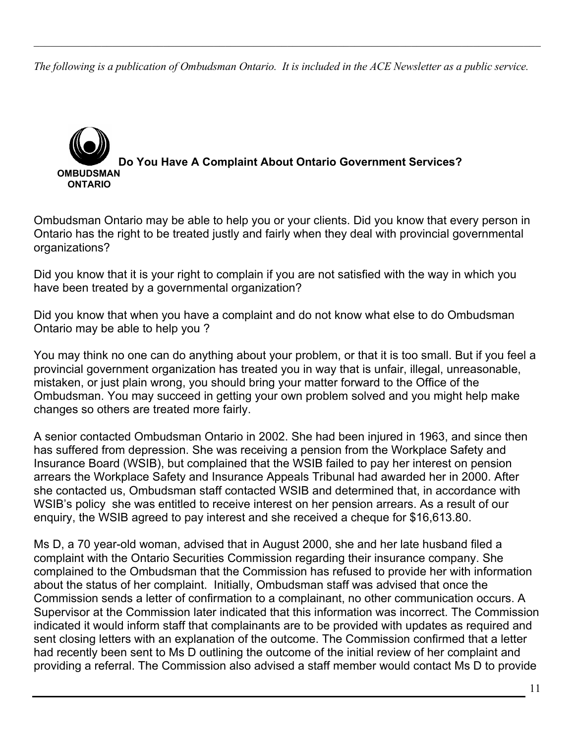*The following is a publication of Ombudsman Ontario. It is included in the ACE Newsletter as a public service.* 

 $\mathcal{L}_\mathcal{L} = \mathcal{L}_\mathcal{L} = \mathcal{L}_\mathcal{L} = \mathcal{L}_\mathcal{L} = \mathcal{L}_\mathcal{L} = \mathcal{L}_\mathcal{L} = \mathcal{L}_\mathcal{L} = \mathcal{L}_\mathcal{L} = \mathcal{L}_\mathcal{L} = \mathcal{L}_\mathcal{L} = \mathcal{L}_\mathcal{L} = \mathcal{L}_\mathcal{L} = \mathcal{L}_\mathcal{L} = \mathcal{L}_\mathcal{L} = \mathcal{L}_\mathcal{L} = \mathcal{L}_\mathcal{L} = \mathcal{L}_\mathcal{L}$ 



Ombudsman Ontario may be able to help you or your clients. Did you know that every person in Ontario has the right to be treated justly and fairly when they deal with provincial governmental organizations?

Did you know that it is your right to complain if you are not satisfied with the way in which you have been treated by a governmental organization?

Did you know that when you have a complaint and do not know what else to do Ombudsman Ontario may be able to help you ?

You may think no one can do anything about your problem, or that it is too small. But if you feel a provincial government organization has treated you in way that is unfair, illegal, unreasonable, mistaken, or just plain wrong, you should bring your matter forward to the Office of the Ombudsman. You may succeed in getting your own problem solved and you might help make changes so others are treated more fairly.

A senior contacted Ombudsman Ontario in 2002. She had been injured in 1963, and since then has suffered from depression. She was receiving a pension from the Workplace Safety and Insurance Board (WSIB), but complained that the WSIB failed to pay her interest on pension arrears the Workplace Safety and Insurance Appeals Tribunal had awarded her in 2000. After she contacted us, Ombudsman staff contacted WSIB and determined that, in accordance with WSIB's policy she was entitled to receive interest on her pension arrears. As a result of our enquiry, the WSIB agreed to pay interest and she received a cheque for \$16,613.80.

Ms D, a 70 year-old woman, advised that in August 2000, she and her late husband filed a complaint with the Ontario Securities Commission regarding their insurance company. She complained to the Ombudsman that the Commission has refused to provide her with information about the status of her complaint. Initially, Ombudsman staff was advised that once the Commission sends a letter of confirmation to a complainant, no other communication occurs. A Supervisor at the Commission later indicated that this information was incorrect. The Commission indicated it would inform staff that complainants are to be provided with updates as required and sent closing letters with an explanation of the outcome. The Commission confirmed that a letter had recently been sent to Ms D outlining the outcome of the initial review of her complaint and providing a referral. The Commission also advised a staff member would contact Ms D to provide